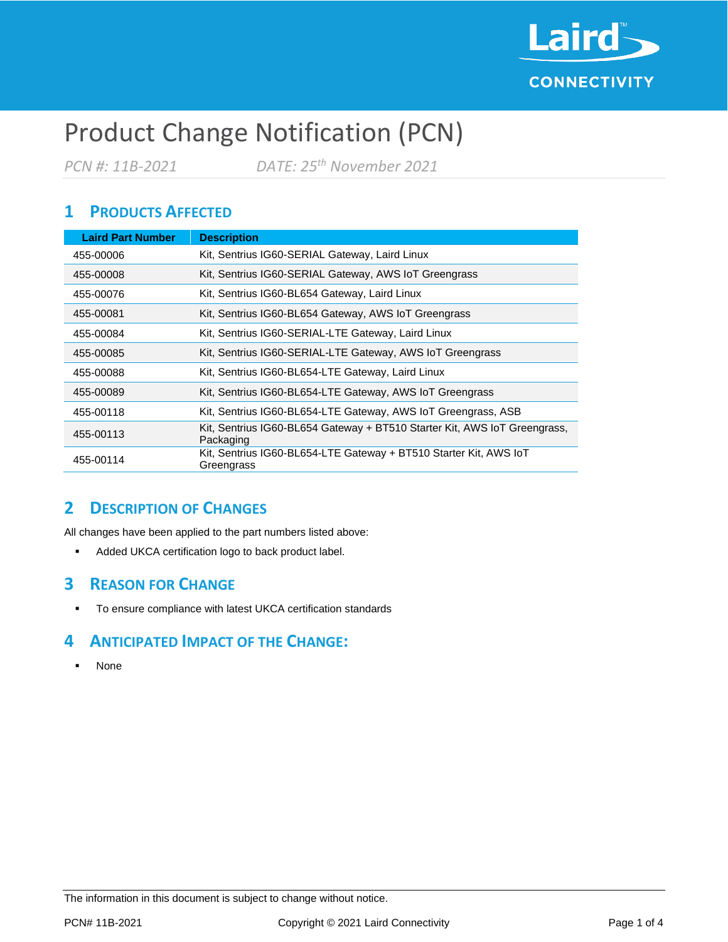

# Product Change Notification (PCN)

*PCN #: 11B-2021 DATE: 25th November 2021*

# **1 PRODUCTS AFFECTED**

| <b>Laird Part Number</b> | <b>Description</b>                                                                     |
|--------------------------|----------------------------------------------------------------------------------------|
| 455-00006                | Kit, Sentrius IG60-SERIAL Gateway, Laird Linux                                         |
| 455-00008                | Kit, Sentrius IG60-SERIAL Gateway, AWS IoT Greengrass                                  |
| 455-00076                | Kit, Sentrius IG60-BL654 Gateway, Laird Linux                                          |
| 455-00081                | Kit, Sentrius IG60-BL654 Gateway, AWS IoT Greengrass                                   |
| 455-00084                | Kit, Sentrius IG60-SERIAL-LTE Gateway, Laird Linux                                     |
| 455-00085                | Kit, Sentrius IG60-SERIAL-LTE Gateway, AWS IoT Greengrass                              |
| 455-00088                | Kit, Sentrius IG60-BL654-LTE Gateway, Laird Linux                                      |
| 455-00089                | Kit, Sentrius IG60-BL654-LTE Gateway, AWS IoT Greengrass                               |
| 455-00118                | Kit, Sentrius IG60-BL654-LTE Gateway, AWS IoT Greengrass, ASB                          |
| 455-00113                | Kit, Sentrius IG60-BL654 Gateway + BT510 Starter Kit, AWS IoT Greengrass,<br>Packaging |
| 455-00114                | Kit, Sentrius IG60-BL654-LTE Gateway + BT510 Starter Kit, AWS IoT<br>Greengrass        |

## **2 DESCRIPTION OF CHANGES**

All changes have been applied to the part numbers listed above:

■ Added UKCA certification logo to back product label.

#### **3 REASON FOR CHANGE**

▪ To ensure compliance with latest UKCA certification standards

## **4 ANTICIPATED IMPACT OF THE CHANGE:**

▪ None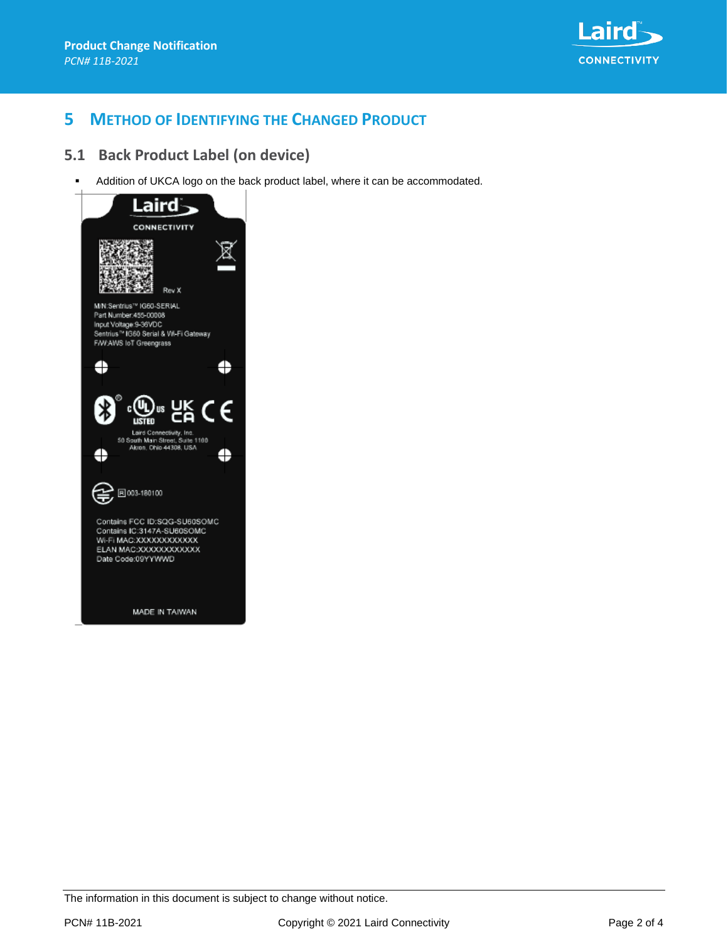

## **5 METHOD OF IDENTIFYING THE CHANGED PRODUCT**

#### **5.1 Back Product Label (on device)**

Addition of UKCA logo on the back product label, where it can be accommodated.



The information in this document is subject to change without notice.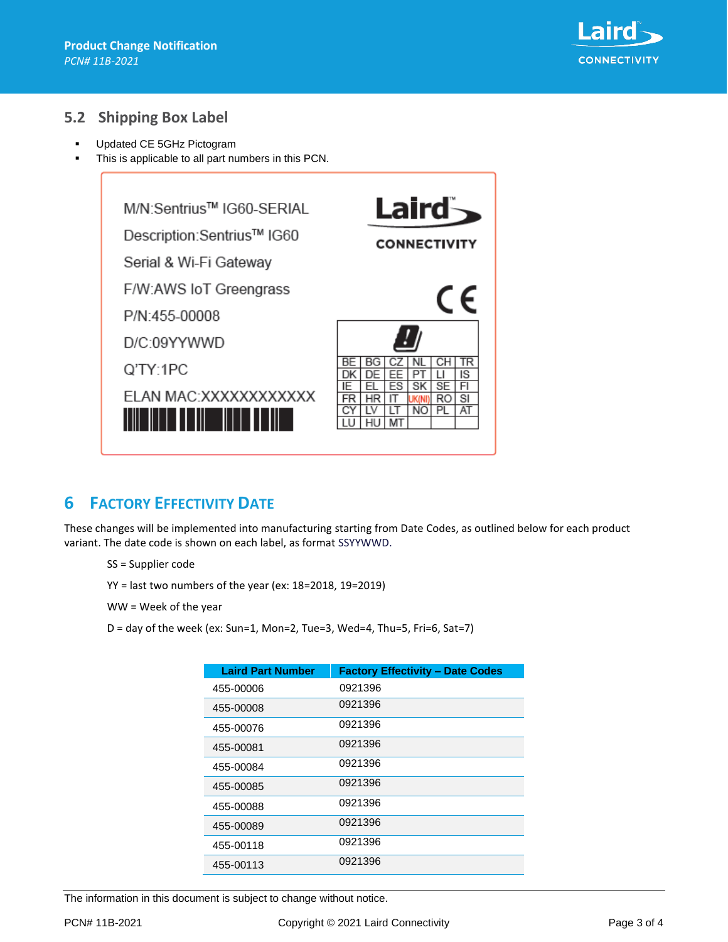

#### **5.2 Shipping Box Label**

- Updated CE 5GHz Pictogram
- This is applicable to all part numbers in this PCN.



## **6 FACTORY EFFECTIVITY DATE**

These changes will be implemented into manufacturing starting from Date Codes, as outlined below for each product variant. The date code is shown on each label, as format SSYYWWD.

- SS = Supplier code
- YY = last two numbers of the year (ex: 18=2018, 19=2019)
- WW = Week of the year
- D = day of the week (ex: Sun=1, Mon=2, Tue=3, Wed=4, Thu=5, Fri=6, Sat=7)

| <b>Laird Part Number</b> | <b>Factory Effectivity - Date Codes</b> |
|--------------------------|-----------------------------------------|
| 455-00006                | 0921396                                 |
| 455-00008                | 0921396                                 |
| 455-00076                | 0921396                                 |
| 455-00081                | 0921396                                 |
| 455-00084                | 0921396                                 |
| 455-00085                | 0921396                                 |
| 455-00088                | 0921396                                 |
| 455-00089                | 0921396                                 |
| 455-00118                | 0921396                                 |
| 455-00113                | 0921396                                 |

The information in this document is subject to change without notice.